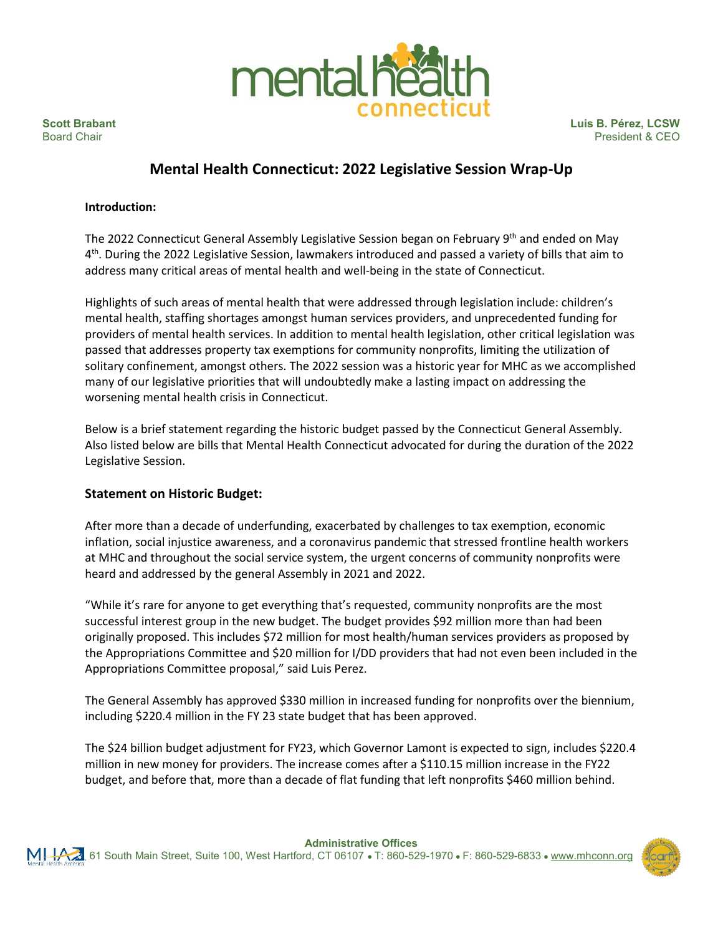

**Scott Brabant Luis B. Pérez, LCSW**<br>Board Chair **Luis B. Pérez, LCSW**<br>President & CEO President & CEO

# **Mental Health Connecticut: 2022 Legislative Session Wrap-Up**

#### **Introduction:**

The 2022 Connecticut General Assembly Legislative Session began on February 9<sup>th</sup> and ended on May 4th. During the 2022 Legislative Session, lawmakers introduced and passed a variety of bills that aim to address many critical areas of mental health and well-being in the state of Connecticut.

Highlights of such areas of mental health that were addressed through legislation include: children's mental health, staffing shortages amongst human services providers, and unprecedented funding for providers of mental health services. In addition to mental health legislation, other critical legislation was passed that addresses property tax exemptions for community nonprofits, limiting the utilization of solitary confinement, amongst others. The 2022 session was a historic year for MHC as we accomplished many of our legislative priorities that will undoubtedly make a lasting impact on addressing the worsening mental health crisis in Connecticut.

Below is a brief statement regarding the historic budget passed by the Connecticut General Assembly. Also listed below are bills that Mental Health Connecticut advocated for during the duration of the 2022 Legislative Session.

### **Statement on Historic Budget:**

After more than a decade of underfunding, exacerbated by challenges to tax exemption, economic inflation, social injustice awareness, and a coronavirus pandemic that stressed frontline health workers at MHC and throughout the social service system, the urgent concerns of community nonprofits were heard and addressed by the general Assembly in 2021 and 2022.

"While it's rare for anyone to get everything that's requested, community nonprofits are the most successful interest group in the new budget. The budget provides \$92 million more than had been originally proposed. This includes \$72 million for most health/human services providers as proposed by the Appropriations Committee and \$20 million for I/DD providers that had not even been included in the Appropriations Committee proposal," said Luis Perez.

The General Assembly has approved \$330 million in increased funding for nonprofits over the biennium, including \$220.4 million in the FY 23 state budget that has been approved.

The \$24 billion budget adjustment for FY23, which Governor Lamont is expected to sign, includes \$220.4 million in new money for providers. The increase comes after a \$110.15 million increase in the FY22 budget, and before that, more than a decade of flat funding that left nonprofits \$460 million behind.

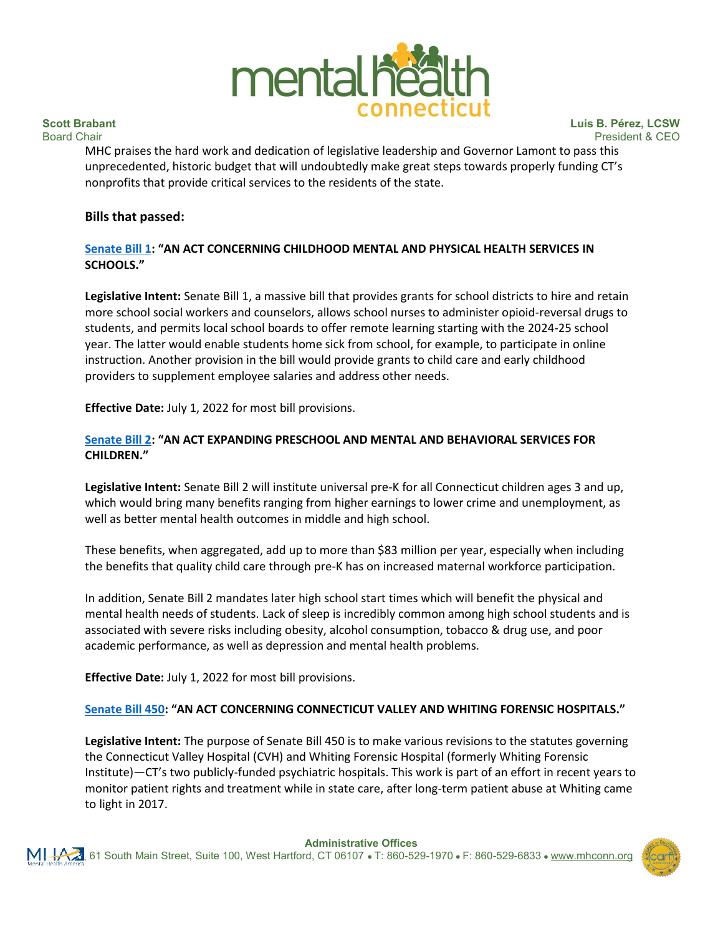

**Scott Brabant Luis B. Pérez, LCSW** President & CEO

MHC praises the hard work and dedication of legislative leadership and Governor Lamont to pass this unprecedented, historic budget that will undoubtedly make great steps towards properly funding CT's nonprofits that provide critical services to the residents of the state.

#### **Bills that passed:**

#### **Senate Bill 1: "AN ACT CONCERNING CHILDHOOD MENTAL AND PHYSICAL HEALTH SERVICES IN SCHOOLS."**

**Legislative Intent:** Senate Bill 1, a massive bill that provides grants for school districts to hire and retain more school social workers and counselors, allows school nurses to administer opioid-reversal drugs to students, and permits local school boards to offer remote learning starting with the 2024-25 school year. The latter would enable students home sick from school, for example, to participate in online instruction. Another provision in the bill would provide grants to child care and early childhood providers to supplement employee salaries and address other needs.

**Effective Date:** July 1, 2022 for most bill provisions.

#### **Senate Bill 2: "AN ACT EXPANDING PRESCHOOL AND MENTAL AND BEHAVIORAL SERVICES FOR CHILDREN."**

**Legislative Intent:** Senate Bill 2 will institute universal pre-K for all Connecticut children ages 3 and up, which would bring many benefits ranging from higher earnings to lower crime and unemployment, as well as better mental health outcomes in middle and high school.

These benefits, when aggregated, add up to more than \$83 million per year, especially when including the benefits that quality child care through pre-K has on increased maternal workforce participation.

In addition, Senate Bill 2 mandates later high school start times which will benefit the physical and mental health needs of students. Lack of sleep is incredibly common among high school students and is associated with severe risks including obesity, alcohol consumption, tobacco & drug use, and poor academic performance, as well as depression and mental health problems.

**Effective Date:** July 1, 2022 for most bill provisions.

### **Senate Bill 450: "AN ACT CONCERNING CONNECTICUT VALLEY AND WHITING FORENSIC HOSPITALS."**

**Legislative Intent:** The purpose of Senate Bill 450 is to make various revisions to the statutes governing the Connecticut Valley Hospital (CVH) and Whiting Forensic Hospital (formerly Whiting Forensic Institute)—CT's two publicly-funded psychiatric hospitals. This work is part of an effort in recent years to monitor patient rights and treatment while in state care, after long-term patient abuse at Whiting came to light in 2017.

**Administrative Offices**

61 South Main Street, Suite 100, West Hartford, CT 06107 ● T: 860-529-1970 ● F: 860-529-6833 ● www.mhconn.org

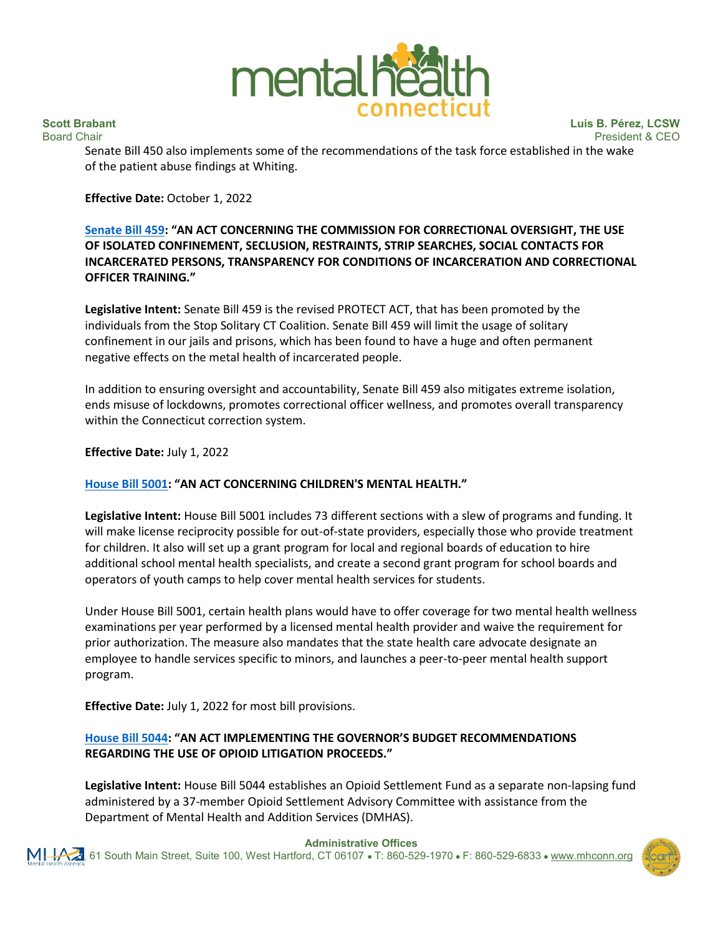

**Scott Brabant Luis B. Pérez, LCSW**<br>Board Chair **Luis B. Pérez, LCSW**<br>President & CEO President & CEO

Senate Bill 450 also implements some of the recommendations of the task force established in the wake of the patient abuse findings at Whiting.

**Effective Date:** October 1, 2022

### **Senate Bill 459: "AN ACT CONCERNING THE COMMISSION FOR CORRECTIONAL OVERSIGHT, THE USE OF ISOLATED CONFINEMENT, SECLUSION, RESTRAINTS, STRIP SEARCHES, SOCIAL CONTACTS FOR INCARCERATED PERSONS, TRANSPARENCY FOR CONDITIONS OF INCARCERATION AND CORRECTIONAL OFFICER TRAINING."**

**Legislative Intent:** Senate Bill 459 is the revised PROTECT ACT, that has been promoted by the individuals from the Stop Solitary CT Coalition. Senate Bill 459 will limit the usage of solitary confinement in our jails and prisons, which has been found to have a huge and often permanent negative effects on the metal health of incarcerated people.

In addition to ensuring oversight and accountability, Senate Bill 459 also mitigates extreme isolation, ends misuse of lockdowns, promotes correctional officer wellness, and promotes overall transparency within the Connecticut correction system.

**Effective Date:** July 1, 2022

#### **House Bill 5001: "AN ACT CONCERNING CHILDREN'S MENTAL HEALTH."**

**Legislative Intent:** House Bill 5001 includes 73 different sections with a slew of programs and funding. It will make license reciprocity possible for out-of-state providers, especially those who provide treatment for children. It also will set up a grant program for local and regional boards of education to hire additional school mental health specialists, and create a second grant program for school boards and operators of youth camps to help cover mental health services for students.

Under House Bill 5001, certain health plans would have to offer coverage for two mental health wellness examinations per year performed by a licensed mental health provider and waive the requirement for prior authorization. The measure also mandates that the state health care advocate designate an employee to handle services specific to minors, and launches a peer-to-peer mental health support program.

**Effective Date:** July 1, 2022 for most bill provisions.

## **House Bill 5044: "AN ACT IMPLEMENTING THE GOVERNOR'S BUDGET RECOMMENDATIONS REGARDING THE USE OF OPIOID LITIGATION PROCEEDS."**

**Legislative Intent:** House Bill 5044 establishes an Opioid Settlement Fund as a separate non-lapsing fund administered by a 37-member Opioid Settlement Advisory Committee with assistance from the Department of Mental Health and Addition Services (DMHAS).



#### **Administrative Offices**

61 South Main Street, Suite 100, West Hartford, CT 06107 ● T: 860-529-1970 ● F: 860-529-6833 ● www.mhconn.org